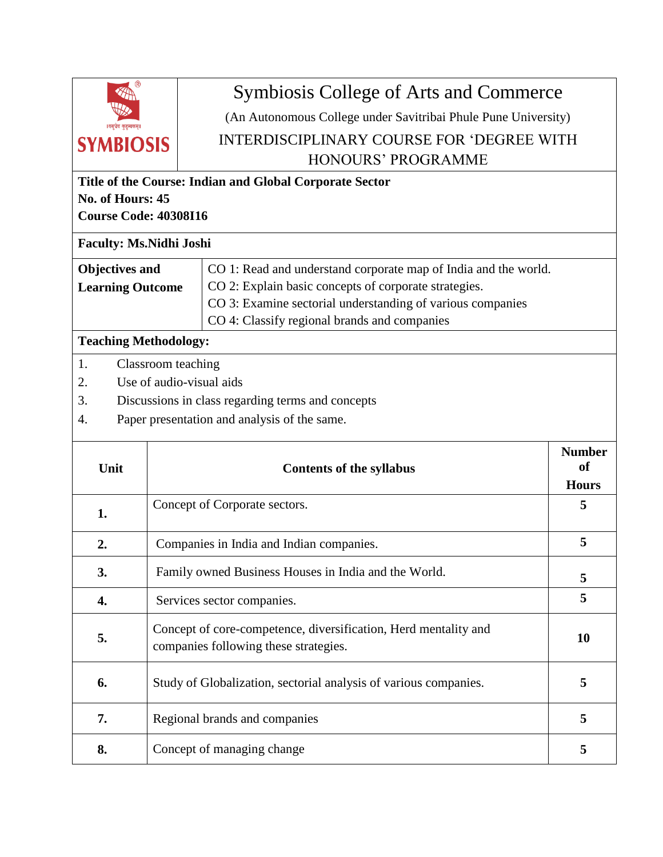

## Symbiosis College of Arts and Commerce

(An Autonomous College under Savitribai Phule Pune University)

## INTERDISCIPLINARY COURSE FOR 'DEGREE WITH HONOURS' PROGRAMME

| Title of the Course: Indian and Global Corporate Sector<br>No. of Hours: 45<br><b>Course Code: 40308I16</b> |                                                                                                                                                     |                                                                                                                                                                                                                                        |                                                |  |  |  |
|-------------------------------------------------------------------------------------------------------------|-----------------------------------------------------------------------------------------------------------------------------------------------------|----------------------------------------------------------------------------------------------------------------------------------------------------------------------------------------------------------------------------------------|------------------------------------------------|--|--|--|
| <b>Faculty: Ms.Nidhi Joshi</b>                                                                              |                                                                                                                                                     |                                                                                                                                                                                                                                        |                                                |  |  |  |
| <b>Objectives and</b><br><b>Learning Outcome</b>                                                            |                                                                                                                                                     | CO 1: Read and understand corporate map of India and the world.<br>CO 2: Explain basic concepts of corporate strategies.<br>CO 3: Examine sectorial understanding of various companies<br>CO 4: Classify regional brands and companies |                                                |  |  |  |
| <b>Teaching Methodology:</b>                                                                                |                                                                                                                                                     |                                                                                                                                                                                                                                        |                                                |  |  |  |
| 1.<br>2.<br>3.<br>4.                                                                                        | Classroom teaching<br>Use of audio-visual aids<br>Discussions in class regarding terms and concepts<br>Paper presentation and analysis of the same. |                                                                                                                                                                                                                                        |                                                |  |  |  |
| Unit                                                                                                        |                                                                                                                                                     | <b>Contents of the syllabus</b>                                                                                                                                                                                                        | <b>Number</b><br><sub>of</sub><br><b>Hours</b> |  |  |  |
| 1.                                                                                                          |                                                                                                                                                     | Concept of Corporate sectors.                                                                                                                                                                                                          | 5                                              |  |  |  |
| 2.                                                                                                          |                                                                                                                                                     | Companies in India and Indian companies.                                                                                                                                                                                               | 5                                              |  |  |  |
| 3.                                                                                                          |                                                                                                                                                     | Family owned Business Houses in India and the World.                                                                                                                                                                                   | 5                                              |  |  |  |
| 4.                                                                                                          |                                                                                                                                                     | Services sector companies.                                                                                                                                                                                                             | 5                                              |  |  |  |
| 5.                                                                                                          |                                                                                                                                                     | Concept of core-competence, diversification, Herd mentality and<br>companies following these strategies.                                                                                                                               | 10                                             |  |  |  |
| 6.                                                                                                          |                                                                                                                                                     | Study of Globalization, sectorial analysis of various companies.                                                                                                                                                                       | 5                                              |  |  |  |
| 7.                                                                                                          |                                                                                                                                                     | Regional brands and companies                                                                                                                                                                                                          | 5                                              |  |  |  |
| 8.                                                                                                          |                                                                                                                                                     | Concept of managing change                                                                                                                                                                                                             | 5                                              |  |  |  |